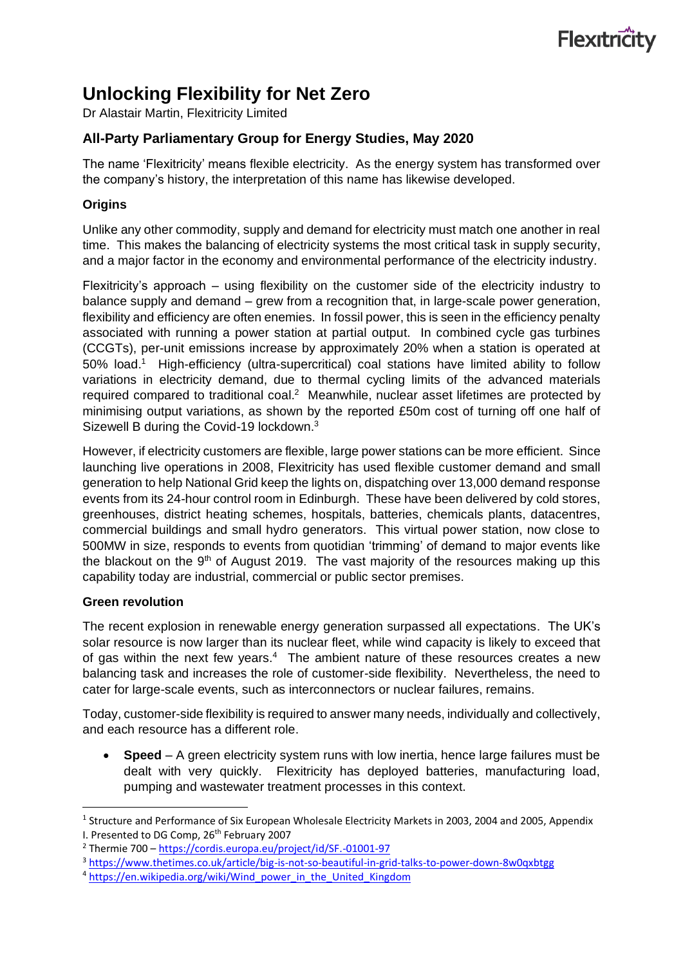# Flexitricity

## **Unlocking Flexibility for Net Zero**

Dr Alastair Martin, Flexitricity Limited

### **All-Party Parliamentary Group for Energy Studies, May 2020**

The name 'Flexitricity' means flexible electricity. As the energy system has transformed over the company's history, the interpretation of this name has likewise developed.

#### **Origins**

Unlike any other commodity, supply and demand for electricity must match one another in real time. This makes the balancing of electricity systems the most critical task in supply security, and a major factor in the economy and environmental performance of the electricity industry.

Flexitricity's approach – using flexibility on the customer side of the electricity industry to balance supply and demand – grew from a recognition that, in large-scale power generation, flexibility and efficiency are often enemies. In fossil power, this is seen in the efficiency penalty associated with running a power station at partial output. In combined cycle gas turbines (CCGTs), per-unit emissions increase by approximately 20% when a station is operated at 50% load.<sup>1</sup> High-efficiency (ultra-supercritical) coal stations have limited ability to follow variations in electricity demand, due to thermal cycling limits of the advanced materials required compared to traditional coal.<sup>2</sup> Meanwhile, nuclear asset lifetimes are protected by minimising output variations, as shown by the reported £50m cost of turning off one half of Sizewell B during the Covid-19 lockdown.<sup>3</sup>

However, if electricity customers are flexible, large power stations can be more efficient. Since launching live operations in 2008, Flexitricity has used flexible customer demand and small generation to help National Grid keep the lights on, dispatching over 13,000 demand response events from its 24-hour control room in Edinburgh. These have been delivered by cold stores, greenhouses, district heating schemes, hospitals, batteries, chemicals plants, datacentres, commercial buildings and small hydro generators. This virtual power station, now close to 500MW in size, responds to events from quotidian 'trimming' of demand to major events like the blackout on the  $9<sup>th</sup>$  of August 2019. The vast majority of the resources making up this capability today are industrial, commercial or public sector premises.

#### **Green revolution**

The recent explosion in renewable energy generation surpassed all expectations. The UK's solar resource is now larger than its nuclear fleet, while wind capacity is likely to exceed that of gas within the next few years. $4$  The ambient nature of these resources creates a new balancing task and increases the role of customer-side flexibility. Nevertheless, the need to cater for large-scale events, such as interconnectors or nuclear failures, remains.

Today, customer-side flexibility is required to answer many needs, individually and collectively, and each resource has a different role.

• **Speed** – A green electricity system runs with low inertia, hence large failures must be dealt with very quickly. Flexitricity has deployed batteries, manufacturing load, pumping and wastewater treatment processes in this context.

<sup>&</sup>lt;sup>1</sup> Structure and Performance of Six European Wholesale Electricity Markets in 2003, 2004 and 2005, Appendix I. Presented to DG Comp, 26<sup>th</sup> February 2007

<sup>2</sup> Thermie 700 – <https://cordis.europa.eu/project/id/SF.-01001-97>

<sup>3</sup> <https://www.thetimes.co.uk/article/big-is-not-so-beautiful-in-grid-talks-to-power-down-8w0qxbtgg>

<sup>&</sup>lt;sup>4</sup> [https://en.wikipedia.org/wiki/Wind\\_power\\_in\\_the\\_United\\_Kingdom](https://en.wikipedia.org/wiki/Wind_power_in_the_United_Kingdom)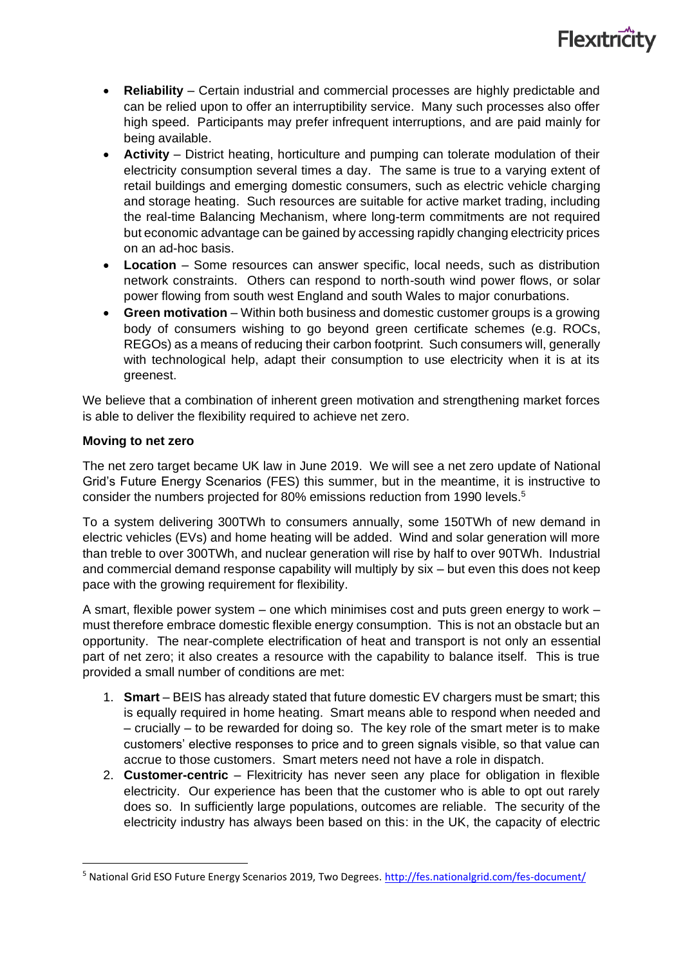

- **Reliability** Certain industrial and commercial processes are highly predictable and can be relied upon to offer an interruptibility service. Many such processes also offer high speed. Participants may prefer infrequent interruptions, and are paid mainly for being available.
- **Activity** District heating, horticulture and pumping can tolerate modulation of their electricity consumption several times a day. The same is true to a varying extent of retail buildings and emerging domestic consumers, such as electric vehicle charging and storage heating. Such resources are suitable for active market trading, including the real-time Balancing Mechanism, where long-term commitments are not required but economic advantage can be gained by accessing rapidly changing electricity prices on an ad-hoc basis.
- **Location**  Some resources can answer specific, local needs, such as distribution network constraints. Others can respond to north-south wind power flows, or solar power flowing from south west England and south Wales to major conurbations.
- **Green motivation** Within both business and domestic customer groups is a growing body of consumers wishing to go beyond green certificate schemes (e.g. ROCs, REGOs) as a means of reducing their carbon footprint. Such consumers will, generally with technological help, adapt their consumption to use electricity when it is at its greenest.

We believe that a combination of inherent green motivation and strengthening market forces is able to deliver the flexibility required to achieve net zero.

#### **Moving to net zero**

The net zero target became UK law in June 2019. We will see a net zero update of National Grid's Future Energy Scenarios (FES) this summer, but in the meantime, it is instructive to consider the numbers projected for 80% emissions reduction from 1990 levels.<sup>5</sup>

To a system delivering 300TWh to consumers annually, some 150TWh of new demand in electric vehicles (EVs) and home heating will be added. Wind and solar generation will more than treble to over 300TWh, and nuclear generation will rise by half to over 90TWh. Industrial and commercial demand response capability will multiply by six – but even this does not keep pace with the growing requirement for flexibility.

A smart, flexible power system – one which minimises cost and puts green energy to work – must therefore embrace domestic flexible energy consumption. This is not an obstacle but an opportunity. The near-complete electrification of heat and transport is not only an essential part of net zero; it also creates a resource with the capability to balance itself. This is true provided a small number of conditions are met:

- 1. **Smart**  BEIS has already stated that future domestic EV chargers must be smart; this is equally required in home heating. Smart means able to respond when needed and – crucially – to be rewarded for doing so. The key role of the smart meter is to make customers' elective responses to price and to green signals visible, so that value can accrue to those customers. Smart meters need not have a role in dispatch.
- 2. **Customer-centric** Flexitricity has never seen any place for obligation in flexible electricity. Our experience has been that the customer who is able to opt out rarely does so. In sufficiently large populations, outcomes are reliable. The security of the electricity industry has always been based on this: in the UK, the capacity of electric

<sup>&</sup>lt;sup>5</sup> National Grid ESO Future Energy Scenarios 2019, Two Degrees.<http://fes.nationalgrid.com/fes-document/>